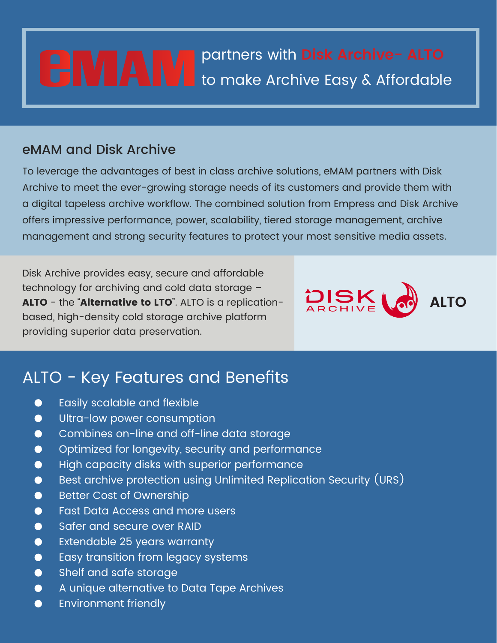# **Leveraging Content** partners with **Disk Archive- ALTO** to make Archive Easy & Affordable

### eMAM and Disk Archive

To leverage the advantages of best in class archive solutions, eMAM partners with Disk Archive to meet the ever-growing storage needs of its customers and provide them with a digital tapeless archive workflow. The combined solution from Empress and Disk Archive offers impressive performance, power, scalability, tiered storage management, archive management and strong security features to protect your most sensitive media assets.

Disk Archive provides easy, secure and affordable technology for archiving and cold data storage – **ALTO** - the "**Alternative to LTO**". ALTO is a replicationbased, high-density cold storage archive platform providing superior data preservation.



## ALTO - Key Features and Benefits

- Easily scalable and flexible  $\bullet$
- Ultra-low power consumption  $\bullet$
- $\bullet$ Combines on-line and off-line data storage
- Optimized for longevity, security and performance  $\bullet$
- High capacity disks with superior performance  $\bullet$
- Best archive protection using Unlimited Replication Security (URS)  $\bullet$
- Better Cost of Ownership  $\bullet$
- $\bullet$ Fast Data Access and more users
- $\bullet$ Safer and secure over RAID
- Extendable 25 years warranty  $\bullet$
- Easy transition from legacy systems  $\bullet$
- Shelf and safe storage  $\bullet$
- A unique alternative to Data Tape Archives  $\bullet$
- Environment friendly  $\bullet$